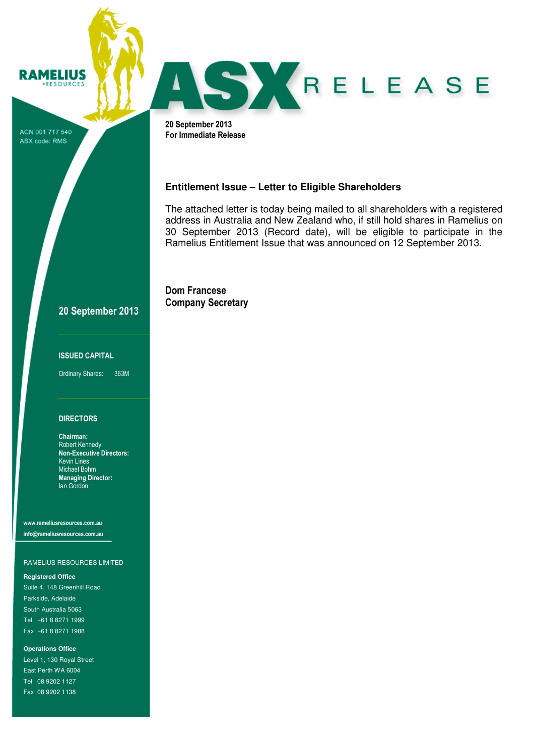ACN 001 717 540 ASX code: RMS

**RAMELIUS** RESOURCES



20 September 2013 For Immediate Release

## **Entitlement Issue – Letter to Eligible Shareholders**

The attached letter is today being mailed to all shareholders with a registered address in Australia and New Zealand who, if still hold shares in Ramelius on 30 September 2013 (Record date), will be eligible to participate in the Ramelius Entitlement Issue that was announced on 12 September 2013.

Dom Francese Company Secretary

# 20 September 2013

### ISSUED CAPITAL

Ordinary Shares: 363M

### **DIRECTORS**

Chairman: Robert Kennedy Non-Executive Directors: Kevin Lines Michael Bohm Managing Director: Ian Gordon

www.rameliusresources.com.au info@rameliusresources.com.au

### RAMELIUS RESOURCES LIMITED

### **Registered Office**

Suite 4, 148 Greenhill Road Parkside, Adelaide South Australia 5063 Tel +61 8 8271 1999 Fax +61 8 8271 1988

**Operations Office**  Level 1, 130 Royal Street East Perth WA 6004 Tel 08 9202 1127 Fax 08 9202 1138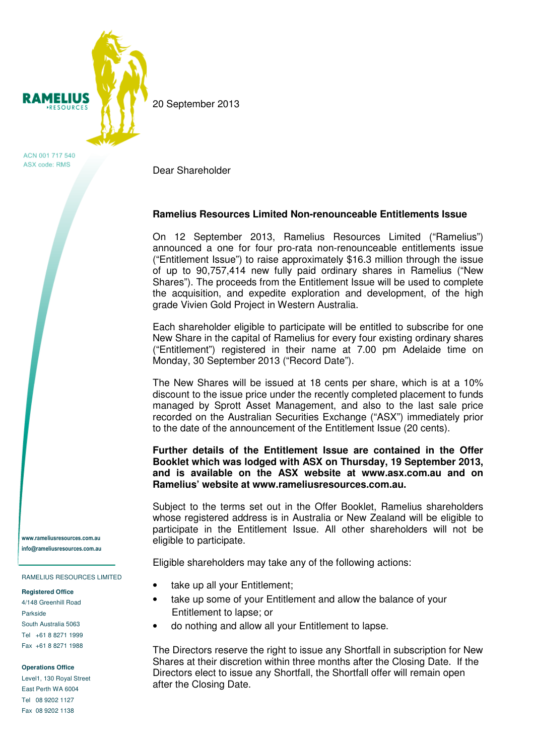

ACN 001 717 540 ASX code: RMS

Dear Shareholder

20 September 2013

# **Ramelius Resources Limited Non-renounceable Entitlements Issue**

On 12 September 2013, Ramelius Resources Limited ("Ramelius") announced a one for four pro-rata non-renounceable entitlements issue ("Entitlement Issue") to raise approximately \$16.3 million through the issue of up to 90,757,414 new fully paid ordinary shares in Ramelius ("New Shares"). The proceeds from the Entitlement Issue will be used to complete the acquisition, and expedite exploration and development, of the high grade Vivien Gold Project in Western Australia.

Each shareholder eligible to participate will be entitled to subscribe for one New Share in the capital of Ramelius for every four existing ordinary shares ("Entitlement") registered in their name at 7.00 pm Adelaide time on Monday, 30 September 2013 ("Record Date").

The New Shares will be issued at 18 cents per share, which is at a 10% discount to the issue price under the recently completed placement to funds managed by Sprott Asset Management, and also to the last sale price recorded on the Australian Securities Exchange ("ASX") immediately prior to the date of the announcement of the Entitlement Issue (20 cents).

## **Further details of the Entitlement Issue are contained in the Offer Booklet which was lodged with ASX on Thursday, 19 September 2013, and is available on the ASX website at www.asx.com.au and on Ramelius' website at www.rameliusresources.com.au.**

Subject to the terms set out in the Offer Booklet, Ramelius shareholders whose registered address is in Australia or New Zealand will be eligible to participate in the Entitlement Issue. All other shareholders will not be eligible to participate.

Eligible shareholders may take any of the following actions:

- take up all your Entitlement;
- take up some of your Entitlement and allow the balance of your Entitlement to lapse; or
- do nothing and allow all your Entitlement to lapse.

The Directors reserve the right to issue any Shortfall in subscription for New Shares at their discretion within three months after the Closing Date. If the Directors elect to issue any Shortfall, the Shortfall offer will remain open after the Closing Date.

www.rameliusresources.com.au info@rameliusresources.com.au

### RAMELIUS RESOURCES LIMITED

### **Registered Office**

4/148 Greenhill Road Parkside South Australia 5063 Tel +61 8 8271 1999 Fax +61 8 8271 1988

### **Operations Office**

Level1, 130 Royal Street East Perth WA 6004 Tel 08 9202 1127 Fax 08 9202 1138